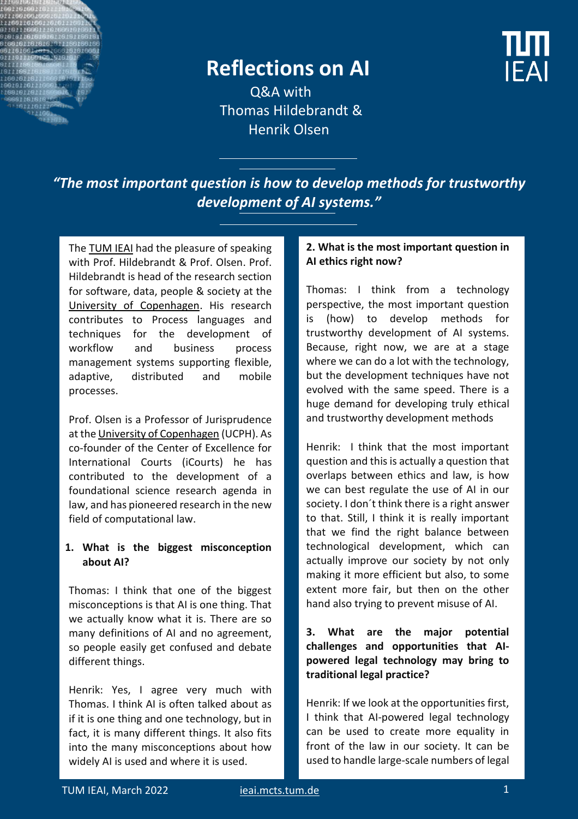

# **Reflections on AI**

Q&A with Thomas Hildebrandt & Henrik Olsen

*"The most important question is how to develop methods for trustworthy development of AI systems."*

The **TUM IEAI** had the pleasure of speaking with Prof. Hildebrandt & Prof. Olsen. Prof. Hildebrandt is head of the research section for software, data, people & society at the [University of Copenhagen.](https://www.ku.dk/english/) His research contributes to Process languages and techniques for the development of workflow and business process management systems supporting flexible, adaptive, distributed and mobile processes.

Prof. Olsen is a Professor of Jurisprudence at th[e University of Copenhagen](https://www.ku.dk/english/) (UCPH). As co-founder of the Center of Excellence for International Courts (iCourts) he has contributed to the development of a foundational science research agenda in law, and has pioneered research in the new field of computational law.

## **1. What is the biggest misconception about AI?**

Thomas: I think that one of the biggest misconceptions is that AI is one thing. That we actually know what it is. There are so many definitions of AI and no agreement, so people easily get confused and debate different things.

Henrik: Yes, I agree very much with Thomas. I think AI is often talked about as if it is one thing and one technology, but in fact, it is many different things. It also fits into the many misconceptions about how widely AI is used and where it is used.

### **2. What is the most important question in AI ethics right now?**

Thomas: I think from a technology perspective, the most important question is (how) to develop methods for trustworthy development of AI systems. Because, right now, we are at a stage where we can do a lot with the technology, but the development techniques have not evolved with the same speed. There is a huge demand for developing truly ethical and trustworthy development methods

Henrik: I think that the most important question and this is actually a question that overlaps between ethics and law, is how we can best regulate the use of AI in our society. I don´t think there is a right answer to that. Still, I think it is really important that we find the right balance between technological development, which can actually improve our society by not only making it more efficient but also, to some extent more fair, but then on the other hand also trying to prevent misuse of AI.

# **3. What are the major potential challenges and opportunities that AIpowered legal technology may bring to traditional legal practice?**

Henrik: If we look at the opportunities first, I think that AI-powered legal technology can be used to create more equality in front of the law in our society. It can be used to handle large-scale numbers of legal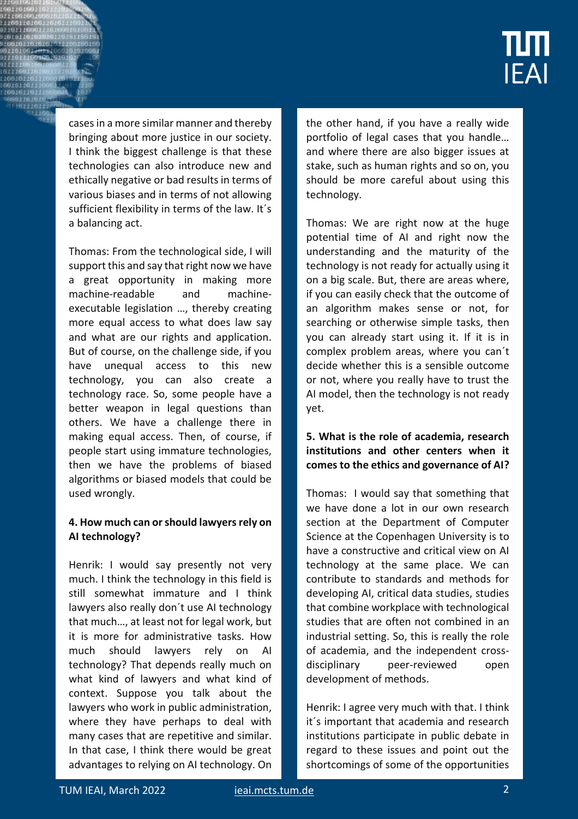# **IEAI**

cases in a more similar manner and thereby bringing about more justice in our society. I think the biggest challenge is that these technologies can also introduce new and ethically negative or bad results in terms of various biases and in terms of not allowing sufficient flexibility in terms of the law. It´s a balancing act.

Thomas: From the technological side, I will support this and say that right now we have a great opportunity in making more machine-readable and machineexecutable legislation …, thereby creating more equal access to what does law say and what are our rights and application. But of course, on the challenge side, if you have unequal access to this new technology, you can also create a technology race. So, some people have a better weapon in legal questions than others. We have a challenge there in making equal access. Then, of course, if people start using immature technologies, then we have the problems of biased algorithms or biased models that could be used wrongly.

# **4. How much can or should lawyers rely on AI technology?**

Henrik: I would say presently not very much. I think the technology in this field is still somewhat immature and I think lawyers also really don´t use AI technology that much…, at least not for legal work, but it is more for administrative tasks. How much should lawyers rely on AI technology? That depends really much on what kind of lawyers and what kind of context. Suppose you talk about the lawyers who work in public administration, where they have perhaps to deal with many cases that are repetitive and similar. In that case, I think there would be great advantages to relying on AI technology. On

the other hand, if you have a really wide portfolio of legal cases that you handle… and where there are also bigger issues at stake, such as human rights and so on, you should be more careful about using this technology.

Thomas: We are right now at the huge potential time of AI and right now the understanding and the maturity of the technology is not ready for actually using it on a big scale. But, there are areas where, if you can easily check that the outcome of an algorithm makes sense or not, for searching or otherwise simple tasks, then you can already start using it. If it is in complex problem areas, where you can´t decide whether this is a sensible outcome or not, where you really have to trust the AI model, then the technology is not ready yet.

# **5. What is the role of academia, research institutions and other centers when it comes to the ethics and governance of AI?**

Thomas: I would say that something that we have done a lot in our own research section at the Department of Computer Science at the Copenhagen University is to have a constructive and critical view on AI technology at the same place. We can contribute to standards and methods for developing AI, critical data studies, studies that combine workplace with technological studies that are often not combined in an industrial setting. So, this is really the role of academia, and the independent crossdisciplinary peer-reviewed open development of methods.

Henrik: I agree very much with that. I think it´s important that academia and research institutions participate in public debate in regard to these issues and point out the shortcomings of some of the opportunities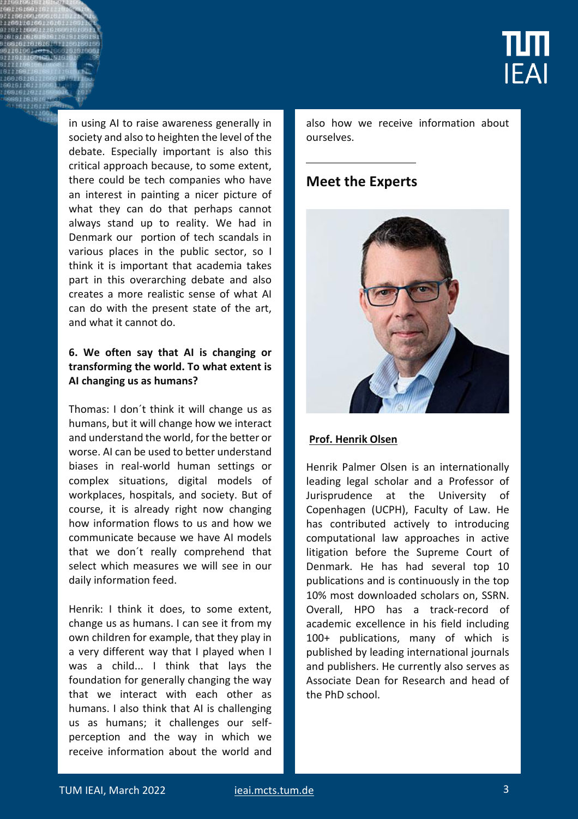

in using AI to raise awareness generally in society and also to heighten the level of the debate. Especially important is also this critical approach because, to some extent, there could be tech companies who have an interest in painting a nicer picture of what they can do that perhaps cannot always stand up to reality. We had in Denmark our portion of tech scandals in various places in the public sector, so I think it is important that academia takes part in this overarching debate and also creates a more realistic sense of what AI can do with the present state of the art, and what it cannot do.

## **6. We often say that AI is changing or transforming the world. To what extent is AI changing us as humans?**

Thomas: I don´t think it will change us as humans, but it will change how we interact and understand the world, for the better or worse. AI can be used to better understand biases in real-world human settings or complex situations, digital models of workplaces, hospitals, and society. But of course, it is already right now changing how information flows to us and how we communicate because we have AI models that we don´t really comprehend that select which measures we will see in our daily information feed.

Henrik: I think it does, to some extent, change us as humans. I can see it from my own children for example, that they play in a very different way that I played when I was a child... I think that lays the foundation for generally changing the way that we interact with each other as humans. I also think that AI is challenging us as humans; it challenges our selfperception and the way in which we receive information about the world and also how we receive information about ourselves.

# **Meet the Experts**



#### $Prof. Henrik Olsen$ </u> a":{"a":{"A":{"B":{"A":{"A":"MAE5KCGxINw",

"B":1},"B":{"B":- Henrik Palmer Olsen is an internationally leading legal scholar and a Professor of Jurisprudence at the University of Copenhagen (UCPH), Faculty of Law. He has contributed actively to introducing computational law approaches in active litigation before the Supreme Court of Denmark. He has had several top 10 publications and is continuously in the top 10% most downloaded scholars on, SSRN. Overall, HPO has a track-record of academic excellence in his field including 100+ publications, many of which is published by leading international journals and publishers. He currently also serves as Associate Dean for Research and head of the PhD school.